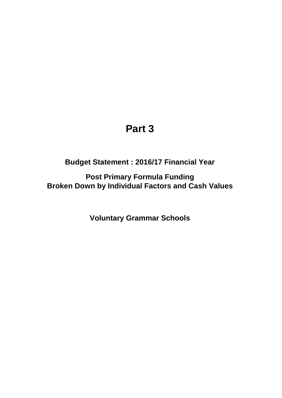## **Part 3**

**Budget Statement : 2016/17 Financial Year**

**Post Primary Formula Funding Broken Down by Individual Factors and Cash Values**

**Voluntary Grammar Schools**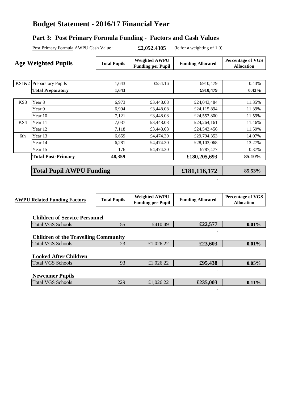## **Budget Statement - 2016/17 Financial Year**

## **Part 3: Post Primary Formula Funding - Factors and Cash Values**

Post Primary Formula AWPU Cash Value : **£2,052.4305** (ie for a weighting of 1.0)

**.**

| <b>Age Weighted Pupils</b> |                                 | <b>Total Pupils</b> | <b>Weighted AWPU</b><br><b>Funding per Pupil</b> | <b>Funding Allocated</b> | <b>Percentage of VGS</b><br><b>Allocation</b> |
|----------------------------|---------------------------------|---------------------|--------------------------------------------------|--------------------------|-----------------------------------------------|
|                            |                                 |                     |                                                  |                          |                                               |
|                            | $KS1&2$ Preparatory Pupils      | 1,643               | £554.16                                          | £910,479                 | 0.43%                                         |
|                            | <b>Total Preparatory</b>        | 1,643               |                                                  | £910,479                 | $0.43\%$                                      |
|                            |                                 |                     |                                                  |                          |                                               |
| KS3                        | Year 8                          | 6,973               | £3,448.08                                        | £24,043,484              | 11.35%                                        |
|                            | Year 9                          | 6,994               | £3,448.08                                        | £24,115,894              | 11.39%                                        |
|                            | Year 10                         | 7,121               | £3,448.08                                        | £24,553,800              | 11.59%                                        |
| KS4                        | Year 11                         | 7,037               | £3,448.08                                        | £24,264,161              | 11.46%                                        |
|                            | Year 12                         | 7,118               | £3,448.08                                        | £24,543,456              | 11.59%                                        |
| 6th                        | Year 13                         | 6,659               | £4,474.30                                        | £29,794,353              | 14.07%                                        |
|                            | Year 14                         | 6,281               | £4,474.30                                        | £28,103,068              | 13.27%                                        |
|                            | Year 15                         | 176                 | £4,474.30                                        | £787,477                 | 0.37%                                         |
|                            | <b>Total Post-Primary</b>       | 48,359              |                                                  | £180,205,693             | 85.10%                                        |
|                            |                                 | $\bullet$           |                                                  |                          |                                               |
|                            | <b>Total Pupil AWPU Funding</b> |                     |                                                  | £181,116,172             | 85.53%                                        |

| <b>AWPU Related Funding Factors</b>         | <b>Total Pupils</b> | <b>Weighted AWPU</b><br><b>Funding per Pupil</b> | <b>Funding Allocated</b> | <b>Percentage of VGS</b><br><b>Allocation</b> |
|---------------------------------------------|---------------------|--------------------------------------------------|--------------------------|-----------------------------------------------|
| <b>Children of Service Personnel</b>        |                     |                                                  |                          |                                               |
| <b>Total VGS Schools</b>                    | 55                  | £410.49                                          | £22,577                  | 0.01%                                         |
| <b>Children of the Travelling Community</b> |                     |                                                  |                          |                                               |
| <b>Total VGS Schools</b>                    | 23                  | £1,026.22                                        | £23,603                  | 0.01%                                         |
| <b>Looked After Children</b>                |                     |                                                  | $\bullet$                |                                               |
| <b>Total VGS Schools</b>                    | 93                  | £1,026.22                                        | £95,438                  | 0.05%                                         |
| <b>Newcomer Pupils</b>                      |                     |                                                  |                          |                                               |
| <b>Total VGS Schools</b>                    | 229                 | £1,026.22                                        | £235,003                 | 0.11%                                         |
|                                             |                     |                                                  |                          |                                               |